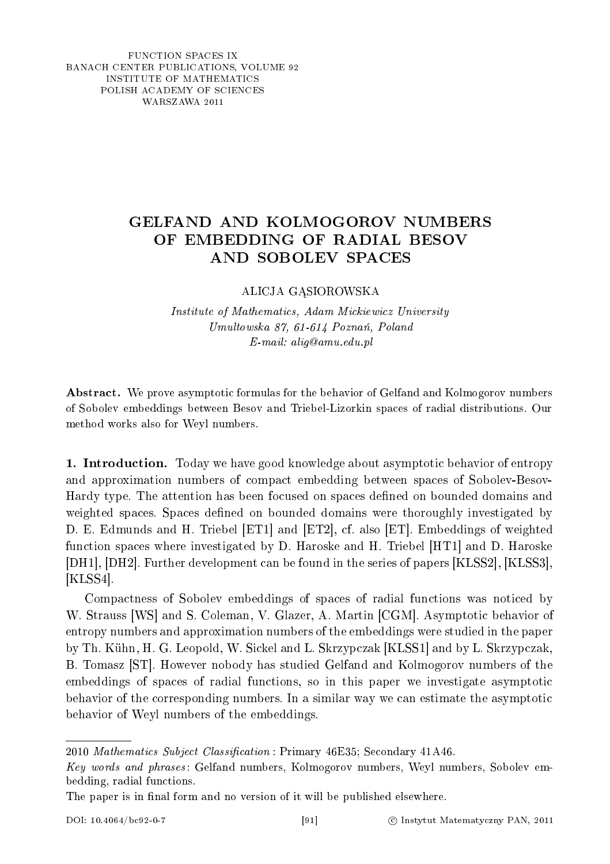FUNCTION SPACES IX BANACH CENTER PUBLICATIONS, VOLUME 92 INSTITUTE OF MATHEMATICS POLISH ACADEMY OF SCIENCES WARSZAWA 2011

## GELFAND AND KOLMOGOROV NUMBERS OF EMBEDDING OF RADIAL BESOV AND SOBOLEV SPACES

ALICJA GASIOROWSKA

Institute of Mathematics, Adam Mickiewicz University  $Umultowski$ a 87, 61-614 Poznań, Poland E-mail: alig@amu.edu.pl

Abstract. We prove asymptotic formulas for the behavior of Gelfand and Kolmogorov numbers of Sobolev embeddings between Besov and Triebel-Lizorkin spaces of radial distributions. Our method works also for Weyl numbers.

1. Introduction. Today we have good knowledge about asymptotic behavior of entropy and approximation numbers of compact embedding between spaces of Sobolev-Besov-Hardy type. The attention has been focused on spaces dened on bounded domains and weighted spaces. Spaces defined on bounded domains were thoroughly investigated by D. E. Edmunds and H. Triebel [ET1] and [ET2], cf. also [ET]. Embeddings of weighted function spaces where investigated by D. Haroske and H. Triebel [HT1] and D. Haroske [DH1], [DH2]. Further development can be found in the series of papers [KLSS2], [KLSS3], [KLSS4].

Compactness of Sobolev embeddings of spaces of radial functions was noticed by W. Strauss [WS] and S. Coleman, V. Glazer, A. Martin [CGM]. Asymptotic behavior of entropy numbers and approximation numbers of the embeddings were studied in the paper by Th. Kühn, H. G. Leopold, W. Sickel and L. Skrzypczak [KLSS1] and by L. Skrzypczak, B. Tomasz [ST]. However nobody has studied Gelfand and Kolmogorov numbers of the embeddings of spaces of radial functions, so in this paper we investigate asymptotic behavior of the corresponding numbers. In a similar way we can estimate the asymptotic behavior of Weyl numbers of the embeddings.

<sup>2010</sup> Mathematics Subject Classification: Primary 46E35; Secondary 41A46.

Key words and phrases : Gelfand numbers, Kolmogorov numbers, Weyl numbers, Sobolev embedding, radial functions.

The paper is in final form and no version of it will be published elsewhere.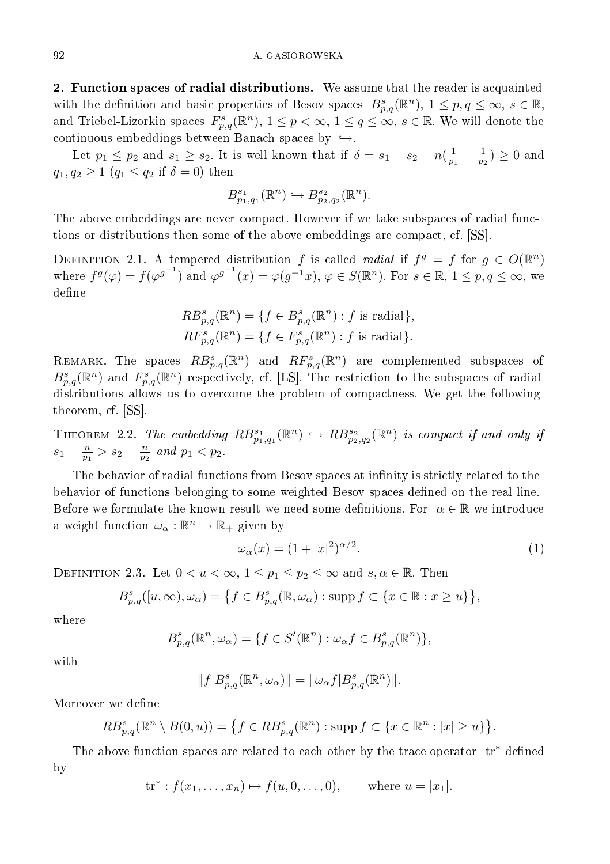2. Function spaces of radial distributions. We assume that the reader is acquainted with the definition and basic properties of Besov spaces  $B_{p,q}^s(\mathbb{R}^n)$ ,  $1 \leq p,q \leq \infty$ ,  $s \in \mathbb{R}$ , and Triebel-Lizorkin spaces  $F^s_{p,q}(\mathbb{R}^n)$ ,  $1 \leq p < \infty$ ,  $1 \leq q \leq \infty$ ,  $s \in \mathbb{R}$ . We will denote the continuous embeddings between Banach spaces by  $\hookrightarrow$ .

Let  $p_1 \leq p_2$  and  $s_1 \geq s_2$ . It is well known that if  $\delta = s_1 - s_2 - n(\frac{1}{p_1} - \frac{1}{p_2}) \geq 0$  and  $q_1, q_2 \geq 1$   $(q_1 \leq q_2 \text{ if } \delta = 0)$  then

$$
B^{s_1}_{p_1,q_1}(\mathbb{R}^n) \hookrightarrow B^{s_2}_{p_2,q_2}(\mathbb{R}^n).
$$

The above embeddings are never compact. However if we take subspaces of radial functions or distributions then some of the above embeddings are compact, cf. [SS].

DEFINITION 2.1. A tempered distribution f is called radial if  $f^g = f$  for  $g \in O(\mathbb{R}^n)$ where  $f^g(\varphi) = f(\varphi^{g^{-1}})$  and  $\varphi^{g^{-1}}(x) = \varphi(g^{-1}x), \varphi \in S(\mathbb{R}^n)$ . For  $s \in \mathbb{R}, 1 \le p, q \le \infty$ , we define

$$
RB_{p,q}^{s}(\mathbb{R}^{n}) = \{ f \in B_{p,q}^{s}(\mathbb{R}^{n}) : f \text{ is radial} \},
$$
  

$$
RF_{p,q}^{s}(\mathbb{R}^{n}) = \{ f \in F_{p,q}^{s}(\mathbb{R}^{n}) : f \text{ is radial} \}.
$$

REMARK. The spaces  $RB_{p,q}^s(\mathbb{R}^n)$  and  $RF_{p,q}^s(\mathbb{R}^n)$  are complemented subspaces of  $B_{p,q}^s(\mathbb{R}^n)$  and  $F_{p,q}^s(\mathbb{R}^n)$  respectively, cf. [LS]. The restriction to the subspaces of radial distributions allows us to overcome the problem of compactness. We get the following theorem, cf. [SS].

THEOREM 2.2. The embedding  $RB^{s_1}_{p_1,q_1}(\mathbb{R}^n) \hookrightarrow RB^{s_2}_{p_2,q_2}(\mathbb{R}^n)$  is compact if and only if  $s_1 - \frac{n}{p_1} > s_2 - \frac{n}{p_2}$  and  $p_1 < p_2$ .

The behavior of radial functions from Besov spaces at infinity is strictly related to the behavior of functions belonging to some weighted Besov spaces defined on the real line. Before we formulate the known result we need some definitions. For  $\alpha \in \mathbb{R}$  we introduce a weight function  $\omega_{\alpha} : \mathbb{R}^n \to \mathbb{R}_+$  given by

$$
\omega_{\alpha}(x) = (1+|x|^2)^{\alpha/2}.
$$
\n(1)

DEFINITION 2.3. Let  $0 < u < \infty$ ,  $1 \le p_1 \le p_2 \le \infty$  and  $s, \alpha \in \mathbb{R}$ . Then

$$
B_{p,q}^{s}([u,\infty),\omega_{\alpha})=\left\{f\in B_{p,q}^{s}(\mathbb{R},\omega_{\alpha}): \text{supp}\, f\subset\{x\in\mathbb{R}: x\geq u\}\right\},
$$

where

$$
B_{p,q}^{s}(\mathbb{R}^n,\omega_\alpha)=\{f\in S'(\mathbb{R}^n):\omega_\alpha f\in B_{p,q}^{s}(\mathbb{R}^n)\},\
$$

with

$$
\|f|B_{p,q}^s(\mathbb R^n,\omega_{\alpha})\|=\|\omega_{\alpha}f|B_{p,q}^s(\mathbb R^n)\|.
$$

Moreover we define

$$
RB_{p,q}^{s}(\mathbb{R}^{n}\setminus B(0,u))=\left\{f\in RB_{p,q}^{s}(\mathbb{R}^{n}): \text{supp}\,f\subset\left\{x\in\mathbb{R}^{n}:\left|x\right|\geq u\right\}\right\}.
$$

The above function spaces are related to each other by the trace operator  $\text{tr}^*$  defined by

$$
tr^* : f(x_1,...,x_n) \mapsto f(u,0,...,0),
$$
 where  $u = |x_1|$ .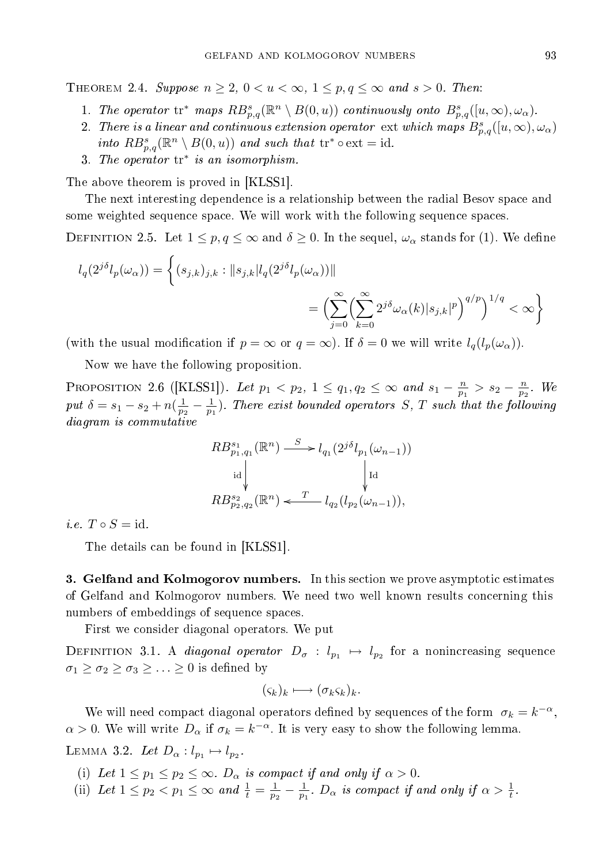THEOREM 2.4. Suppose  $n \geq 2$ ,  $0 < u < \infty$ ,  $1 \leq p, q \leq \infty$  and  $s > 0$ . Then:

- 1. The operator  $\mathrm{tr}^*$  maps  $RB_{p,q}^s(\mathbb{R}^n \setminus B(0,u))$  continuously onto  $B_{p,q}^s([u,\infty),\omega_\alpha)$ .
- 2. There is a linear and continuous extension operator ext which maps  $B_{p,q}^s([u,\infty),\omega_\alpha)$ into  $RB_{p,q}^s(\mathbb{R}^n \setminus B(0, u))$  and such that  $\mathrm{tr}^* \circ \mathrm{ext} = \mathrm{id}$ .
- 3. The operator  $\mathrm{tr}^*$  is an isomorphism.

The above theorem is proved in [KLSS1].

The next interesting dependence is a relationship between the radial Besov space and some weighted sequence space. We will work with the following sequence spaces.

DEFINITION 2.5. Let  $1 \leq p, q \leq \infty$  and  $\delta \geq 0$ . In the sequel,  $\omega_{\alpha}$  stands for (1). We define

$$
l_q(2^{j\delta}l_p(\omega_\alpha)) = \left\{ (s_{j,k})_{j,k} : ||s_{j,k}|l_q(2^{j\delta}l_p(\omega_\alpha))|| \right\}
$$
  

$$
= \left( \sum_{j=0}^\infty \left( \sum_{k=0}^\infty 2^{j\delta} \omega_\alpha(k) |s_{j,k}|^p \right)^{q/p} \right)^{1/q} < \infty \right\}
$$

(with the usual modification if  $p = \infty$  or  $q = \infty$ ). If  $\delta = 0$  we will write  $l_q(l_p(\omega_\alpha))$ .

Now we have the following proposition.

PROPOSITION 2.6 ([KLSS1]). Let  $p_1 < p_2$ ,  $1 \le q_1, q_2 \le \infty$  and  $s_1 - \frac{n}{p_1} > s_2 - \frac{n}{p_2}$ . We put  $\delta = s_1 - s_2 + n(\frac{1}{p_2} - \frac{1}{p_1})$ . There exist bounded operators S, T such that the following diagram is commutative

$$
\begin{aligned}RB_{p_1,q_1}^{s_1}(\mathbb{R}^n) &\stackrel{S}{\longrightarrow} l_{q_1}(2^{j\delta}l_{p_1}(\omega_{n-1}))\\ \downarrow \text{Id} &\hspace{1em}\hspace{1em}\hspace{1em}\hspace{1em}\hspace{1em}\hspace{1em}\hspace{1em}\hspace{1em}\hspace{1em}\hspace{1em}\hspace{1em}\hspace{1em}\hspace{1em}\hspace{1em}\hspace{1em}\hspace{1em}\hspace{1em}\hspace{1em}\hspace{1em}\hspace{1em}\hspace{1em}\hspace{1em}\hspace{1em}\hspace{1em}\hspace{1em}\hspace{1em}\hspace{1em}\hspace{1em}\hspace{1em}\hspace{1em}\hspace{1em}\hspace{1em}\hspace{1em}\hspace{1em}\hspace{1em}\hspace{1em}\hspace{1em}\hspace{1em}\hspace{1em}\hspace{1em}\hspace{1em}\hspace{1em}\hspace{1em}\hspace{1em}\hspace{1em}\hspace{1em}\hspace{1em}\hspace{1em}\hspace{1em}\hspace{1em}\hspace{1em}\hspace{1em}\hspace{1em}\hspace{1em}\hspace{1em}\hspace{1em}\hspace{1em}\hspace{1em}\hspace{1em}\hspace{1em}\hspace{1em}\hspace{1em}\hspace{1em}\hspace{1em}\hspace{1em}\hspace{1em}\hspace{1em}\hspace{1em}\hspace{1em}\hspace{1em}\hspace{1em}\hspace{1em}\hspace{1em}\hspace{1em}\hspace{1em}\hspace{1em}\hspace{1em}\hspace{1em}\hspace{1em}\hspace{1em}\hspace{1em}\hspace{1em}\hspace{1em}\hspace{1em}\hspace{1em}\hspace{1em}\hspace{1em}\hspace{1em}\hspace{1em}\hspace{1em}\hspace{1em}\hspace{1em}\hspace{1em}\hspace{1em}\hspace{1em}\hspace{1em}\hspace{1em}\hspace{1em}\hspace{1em}\hspace{1em}\hspace{1em}\hspace{1em}\hspace{1em}\hspace{1em}\hspace{1em}\hspace{1em}\hspace{1em}\hspace{1em}\hspace{1em}\,\hspace{1em}\hspace{1em}\hspace{1em}\hspace{1em}\hspace{1em}\hs
$$

i.e.  $T \circ S = id$ .

The details can be found in [KLSS1].

3. Gelfand and Kolmogorov numbers. In this section we prove asymptotic estimates of Gelfand and Kolmogorov numbers. We need two well known results concerning this numbers of embeddings of sequence spaces.

First we consider diagonal operators. We put

DEFINITION 3.1. A *diagonal operator*  $D_{\sigma} : l_{p_1} \mapsto l_{p_2}$  for a nonincreasing sequence  $\sigma_1 \geq \sigma_2 \geq \sigma_3 \geq \ldots \geq 0$  is defined by

$$
(\varsigma_k)_k \longmapsto (\sigma_k \varsigma_k)_k.
$$

We will need compact diagonal operators defined by sequences of the form  $\sigma_k = k^{-\alpha}$ ,  $\alpha > 0$ . We will write  $D_{\alpha}$  if  $\sigma_k = k^{-\alpha}$ . It is very easy to show the following lemma.

LEMMA 3.2. Let  $D_{\alpha}: l_{p_1} \mapsto l_{p_2}$ .

- (i) Let  $1 \leq p_1 \leq p_2 \leq \infty$ .  $D_{\alpha}$  is compact if and only if  $\alpha > 0$ .
- (ii) Let  $1 \leq p_2 < p_1 \leq \infty$  and  $\frac{1}{t} = \frac{1}{p_2} \frac{1}{p_1}$ .  $D_{\alpha}$  is compact if and only if  $\alpha > \frac{1}{t}$ .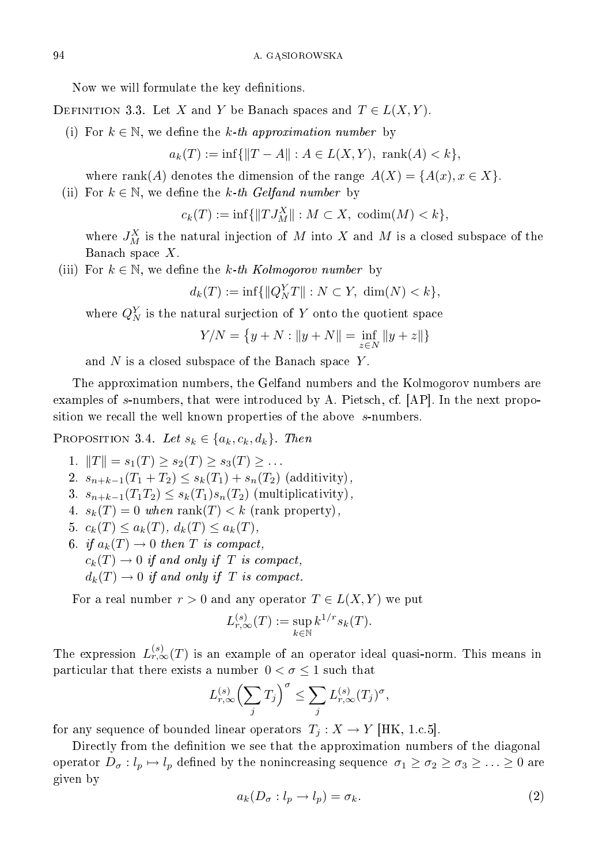Now we will formulate the key definitions.

DEFINITION 3.3. Let X and Y be Banach spaces and  $T \in L(X, Y)$ .

(i) For  $k \in \mathbb{N}$ , we define the k-th approximation number by

$$
a_k(T) := \inf\{\|T - A\| : A \in L(X, Y), \text{ rank}(A) < k\},\
$$

where rank(A) denotes the dimension of the range  $A(X) = \{A(x), x \in X\}.$ 

(ii) For  $k \in \mathbb{N}$ , we define the k-th Gelfand number by

 $c_k(T) := \inf \{ ||T J_M^X|| : M \subset X, \text{ codim}(M) < k \},$ 

where  $J_M^X$  is the natural injection of M into X and M is a closed subspace of the Banach space X.

(iii) For  $k \in \mathbb{N}$ , we define the k-th Kolmogorov number by

$$
d_k(T) := \inf \{ \|Q_N^Y T\| : N \subset Y, \dim(N) < k \},\
$$

where  $Q_N^Y$  is the natural surjection of Y onto the quotient space

$$
Y/N = \big\{ y + N : \|y + N\| = \inf_{z \in N} \|y + z\|\}
$$

and  $N$  is a closed subspace of the Banach space  $Y$ .

The approximation numbers, the Gelfand numbers and the Kolmogorov numbers are examples of s-numbers, that were introduced by A. Pietsch, cf. [AP]. In the next proposition we recall the well known properties of the above s-numbers.

PROPOSITION 3.4. Let  $s_k \in \{a_k, c_k, d_k\}$ . Then

1.  $||T|| = s_1(T) \geq s_2(T) \geq s_3(T) \geq \ldots$ 2.  $s_{n+k-1}(T_1+T_2) \leq s_k(T_1) + s_n(T_2)$  (additivity), 3.  $s_{n+k-1}(T_1T_2) \leq s_k(T_1)s_n(T_2)$  (multiplicativity), 4.  $s_k(T) = 0$  when rank $(T) < k$  (rank property), 5.  $c_k(T) \le a_k(T)$ ,  $d_k(T) \le a_k(T)$ , 6. if  $a_k(T) \to 0$  then T is compact,  $c_k(T) \to 0$  if and only if T is compact,  $d_k(T) \to 0$  if and only if T is compact.

For a real number  $r > 0$  and any operator  $T \in L(X, Y)$  we put

$$
L_{r,\infty}^{(s)}(T) := \sup_{k \in \mathbb{N}} k^{1/r} s_k(T).
$$

The expression  $L_{r,\infty}^{(s)}(T)$  is an example of an operator ideal quasi-norm. This means in particular that there exists a number  $0 < \sigma \leq 1$  such that

$$
L_{r,\infty}^{(s)}\left(\sum_j T_j\right)^{\sigma} \leq \sum_j L_{r,\infty}^{(s)}(T_j)^{\sigma},
$$

for any sequence of bounded linear operators  $T_j : X \to Y$  [HK, 1.c.5].

Directly from the definition we see that the approximation numbers of the diagonal operator  $D_{\sigma}: l_p \mapsto l_p$  defined by the nonincreasing sequence  $\sigma_1 \ge \sigma_2 \ge \sigma_3 \ge \ldots \ge 0$  are given by

$$
a_k(D_\sigma: l_p \to l_p) = \sigma_k. \tag{2}
$$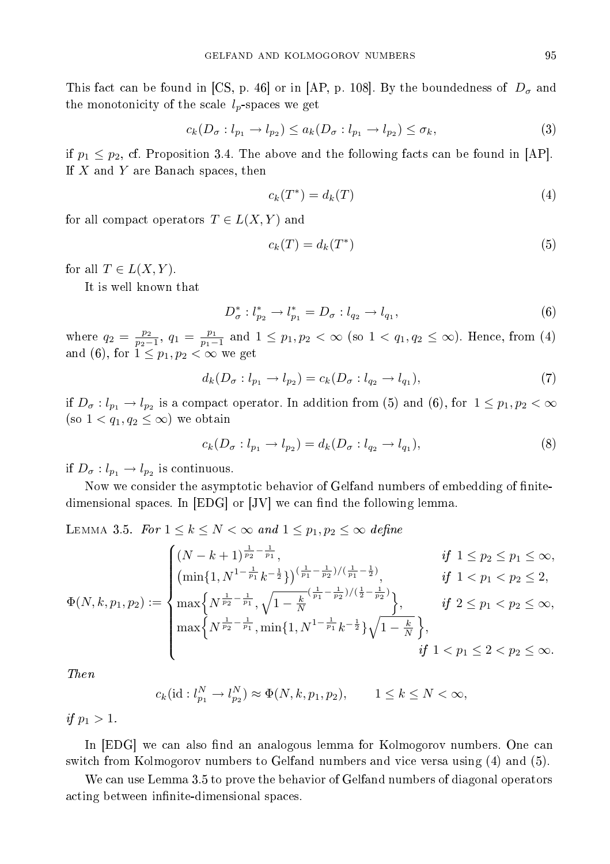This fact can be found in [CS, p. 46] or in [AP, p. 108]. By the boundedness of  $D_{\sigma}$  and the monotonicity of the scale  $l_p$ -spaces we get

$$
c_k(D_{\sigma}:l_{p_1}\to l_{p_2})\leq a_k(D_{\sigma}:l_{p_1}\to l_{p_2})\leq \sigma_k,
$$
\n(3)

if  $p_1 \leq p_2$ , cf. Proposition 3.4. The above and the following facts can be found in [AP]. If  $X$  and  $Y$  are Banach spaces, then

$$
c_k(T^*) = d_k(T) \tag{4}
$$

for all compact operators  $T \in L(X, Y)$  and

$$
c_k(T) = d_k(T^*)
$$
\n<sup>(5)</sup>

for all  $T \in L(X, Y)$ .

It is well known that

$$
D_{\sigma}^* : l_{p_2}^* \to l_{p_1}^* = D_{\sigma} : l_{q_2} \to l_{q_1}, \tag{6}
$$

where  $q_2 = \frac{p_2}{p_2-1}$ ,  $q_1 = \frac{p_1}{p_1-1}$  and  $1 \leq p_1, p_2 < \infty$  (so  $1 < q_1, q_2 \leq \infty$ ). Hence, from (4) and (6), for  $1 \leq p_1, p_2 < \infty$  we get

$$
d_k(D_{\sigma}: l_{p_1} \to l_{p_2}) = c_k(D_{\sigma}: l_{q_2} \to l_{q_1}),
$$
\n(7)

if  $D_{\sigma}: l_{p_1} \to l_{p_2}$  is a compact operator. In addition from (5) and (6), for  $1 \leq p_1, p_2 < \infty$ (so  $1 < q_1, q_2 \leq \infty$ ) we obtain

$$
c_k(D_{\sigma}:l_{p_1}\to l_{p_2})=d_k(D_{\sigma}:l_{q_2}\to l_{q_1}),
$$
\n(8)

if  $D_{\sigma}: l_{p_1} \to l_{p_2}$  is continuous.

Now we consider the asymptotic behavior of Gelfand numbers of embedding of nitedimensional spaces. In  $[EDG]$  or  $[JV]$  we can find the following lemma.

LEMMA 3.5. For  $1 \leq k \leq N < \infty$  and  $1 \leq p_1, p_2 \leq \infty$  define

$$
\Phi(N,k,p_1,p_2) := \begin{cases}\n(N-k+1)^{\frac{1}{p_2} - \frac{1}{p_1}}, & \text{if } 1 \leq p_2 \leq p_1 \leq \infty, \\
(\min\{1, N^{1 - \frac{1}{p_1}} k^{-\frac{1}{2}}\})^{\left(\frac{1}{p_1} - \frac{1}{p_2}\right)/\left(\frac{1}{p_1} - \frac{1}{2}\right)}, & \text{if } 1 < p_1 < p_2 \leq 2, \\
\max\left\{N^{\frac{1}{p_2} - \frac{1}{p_1}}, \sqrt{1 - \frac{k}{N}}^{\left(\frac{1}{p_1} - \frac{1}{p_2}\right)/\left(\frac{1}{2} - \frac{1}{p_2}\right)}, & \text{if } 2 \leq p_1 < p_2 \leq \infty, \\
\max\left\{N^{\frac{1}{p_2} - \frac{1}{p_1}}, \min\{1, N^{1 - \frac{1}{p_1}} k^{-\frac{1}{2}}\}\sqrt{1 - \frac{k}{N}}\right\}, & \text{if } 1 < p_1 \leq 2 < p_2 \leq \infty.\n\end{cases}
$$

Then

$$
c_k(\text{id}: l_{p_1}^N \to l_{p_2}^N) \approx \Phi(N, k, p_1, p_2), \qquad 1 \le k \le N < \infty,
$$

if  $p_1 > 1$ .

In [EDG] we can also find an analogous lemma for Kolmogorov numbers. One can switch from Kolmogorov numbers to Gelfand numbers and vice versa using (4) and (5).

We can use Lemma 3.5 to prove the behavior of Gelfand numbers of diagonal operators acting between infinite-dimensional spaces.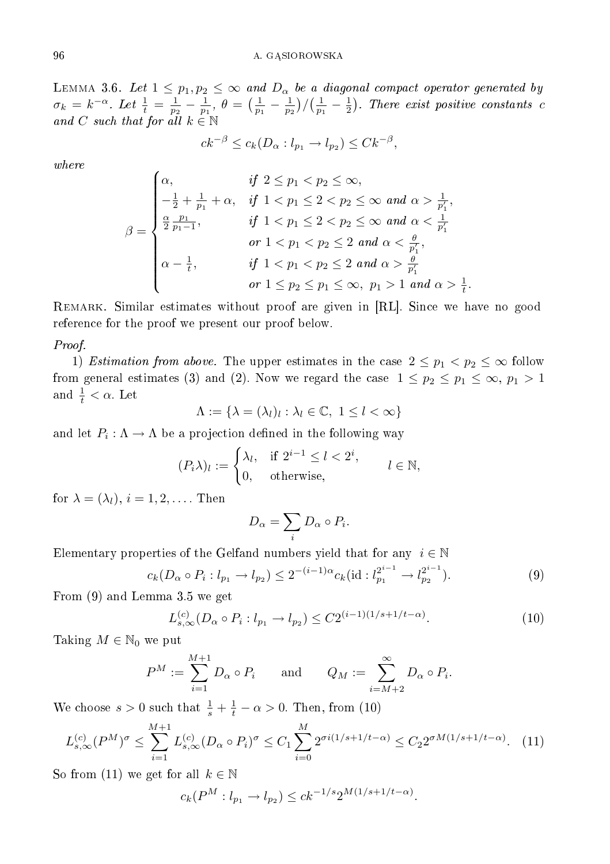LEMMA 3.6. Let  $1 \leq p_1, p_2 \leq \infty$  and  $D_{\alpha}$  be a diagonal compact operator generated by  $\sigma_k = k^{-\alpha}$ . Let  $\frac{1}{t} = \frac{1}{p_2} - \frac{1}{p_1}$ ,  $\theta = (\frac{1}{p_1} - \frac{1}{p_2})/(\frac{1}{p_1} - \frac{1}{2})$ . There exist positive constants c and C such that for all  $k \in \mathbb{N}$ 

$$
ck^{-\beta} \le c_k(D_\alpha : l_{p_1} \to l_{p_2}) \le Ck^{-\beta},
$$

where

$$
\beta = \begin{cases}\n\alpha, & \text{if } 2 \le p_1 < p_2 \le \infty, \\
-\frac{1}{2} + \frac{1}{p_1} + \alpha, & \text{if } 1 < p_1 \le 2 < p_2 \le \infty \text{ and } \alpha > \frac{1}{p'_1}, \\
\frac{\alpha}{2} \frac{p_1}{p_1 - 1}, & \text{if } 1 < p_1 \le 2 < p_2 \le \infty \text{ and } \alpha < \frac{1}{p'_1}, \\
& \text{or } 1 < p_1 < p_2 \le 2 \text{ and } \alpha < \frac{\theta}{p'_1}, \\
\alpha - \frac{1}{t}, & \text{if } 1 < p_1 < p_2 \le 2 \text{ and } \alpha > \frac{\theta}{p'_1} \\
& \text{or } 1 \le p_2 \le p_1 \le \infty, \ p_1 > 1 \text{ and } \alpha > \frac{1}{t}.\n\end{cases}
$$

Remark. Similar estimates without proof are given in [RL]. Since we have no good reference for the proof we present our proof below.

## Proof.

1) Estimation from above. The upper estimates in the case  $2 \le p_1 < p_2 \le \infty$  follow from general estimates (3) and (2). Now we regard the case  $1 \leq p_2 \leq p_1 \leq \infty$ ,  $p_1 > 1$ and  $\frac{1}{t} < \alpha$ . Let

$$
\Lambda := \{ \lambda = (\lambda_l)_l : \lambda_l \in \mathbb{C}, \ 1 \leq l < \infty \}
$$

and let  $P_i: \Lambda \to \Lambda$  be a projection defined in the following way

$$
(P_i \lambda)_l := \begin{cases} \lambda_l, & \text{if } 2^{i-1} \le l < 2^i, \\ 0, & \text{otherwise,} \end{cases} \qquad l \in \mathbb{N},
$$

for  $\lambda = (\lambda_l)$ ,  $i = 1, 2, \dots$ . Then

$$
D_{\alpha} = \sum_{i} D_{\alpha} \circ P_{i}.
$$

Elementary properties of the Gelfand numbers yield that for any  $i \in \mathbb{N}$ 

$$
c_k(D_\alpha \circ P_i : l_{p_1} \to l_{p_2}) \le 2^{-(i-1)\alpha} c_k(\text{id} : l_{p_1}^{2^{i-1}} \to l_{p_2}^{2^{i-1}}). \tag{9}
$$

From (9) and Lemma 3.5 we get

$$
L_{s,\infty}^{(c)}(D_{\alpha}\circ P_i: l_{p_1}\to l_{p_2})\leq C2^{(i-1)(1/s+1/t-\alpha)}.
$$
 (10)

Taking  $M \in \mathbb{N}_0$  we put

$$
P^M := \sum_{i=1}^{M+1} D_{\alpha} \circ P_i \quad \text{and} \quad Q_M := \sum_{i=M+2}^{\infty} D_{\alpha} \circ P_i.
$$

We choose  $s > 0$  such that  $\frac{1}{s} + \frac{1}{t} - \alpha > 0$ . Then, from (10)

$$
L_{s,\infty}^{(c)}(P^M)^{\sigma} \le \sum_{i=1}^{M+1} L_{s,\infty}^{(c)}(D_\alpha \circ P_i)^{\sigma} \le C_1 \sum_{i=0}^M 2^{\sigma i(1/s + 1/t - \alpha)} \le C_2 2^{\sigma M(1/s + 1/t - \alpha)}.
$$
 (11)

So from (11) we get for all  $k \in \mathbb{N}$ 

$$
c_k(P^M : l_{p_1} \to l_{p_2}) \le ck^{-1/s} 2^{M(1/s + 1/t - \alpha)}.
$$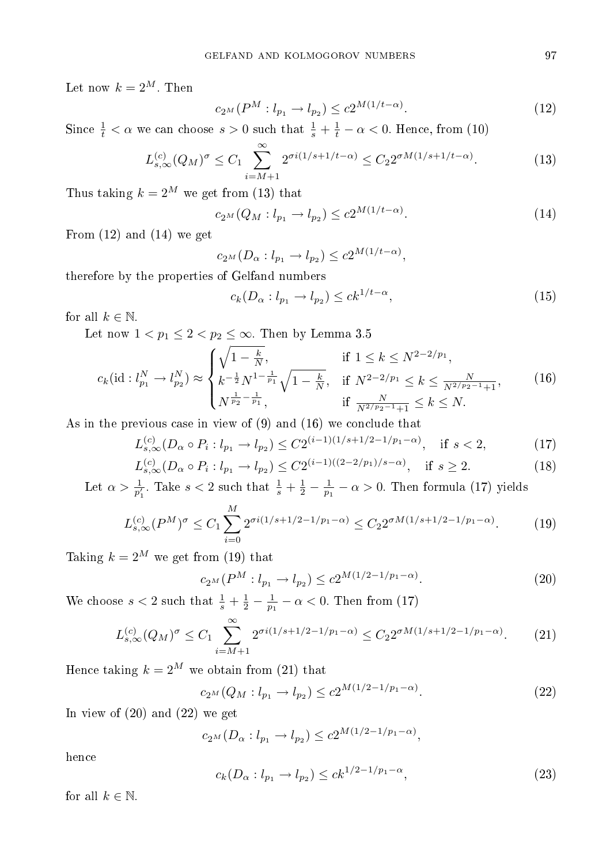Let now  $k = 2^M$ . Then

$$
c_{2^{M}}(P^{M}:l_{p_{1}} \to l_{p_{2}}) \leq c_{2^{M(1/t-\alpha)}}.
$$
\n(12)

Since  $\frac{1}{t} < \alpha$  we can choose  $s > 0$  such that  $\frac{1}{s} + \frac{1}{t} - \alpha < 0$ . Hence, from (10)

$$
L_{s,\infty}^{(c)}(Q_M)^{\sigma} \le C_1 \sum_{i=M+1}^{\infty} 2^{\sigma i(1/s+1/t-\alpha)} \le C_2 2^{\sigma M(1/s+1/t-\alpha)}.
$$
 (13)

Thus taking  $k = 2^M$  we get from (13) that

$$
c_{2^{M}}(Q_{M}:l_{p_{1}} \to l_{p_{2}}) \leq c2^{M(1/t-\alpha)}.
$$
\n(14)

From  $(12)$  and  $(14)$  we get

$$
c_{2^{M}}(D_{\alpha}: l_{p_1} \to l_{p_2}) \le c2^{M(1/t - \alpha)},
$$

therefore by the properties of Gelfand numbers

$$
c_k(D_\alpha: l_{p_1} \to l_{p_2}) \le ck^{1/t - \alpha},\tag{15}
$$

for all  $k \in \mathbb{N}$ .

Let now  $1 < p_1 \leq 2 < p_2 \leq \infty$ . Then by Lemma 3.5

$$
c_k(\mathrm{id}: l_{p_1}^N \to l_{p_2}^N) \approx \begin{cases} \sqrt{1 - \frac{k}{N}}, & \text{if } 1 \le k \le N^{2 - 2/p_1}, \\ k^{-\frac{1}{2}} N^{1 - \frac{1}{p_1}} \sqrt{1 - \frac{k}{N}}, & \text{if } N^{2 - 2/p_1} \le k \le \frac{N}{N^{2/p_2 - 1} + 1}, \\ N^{\frac{1}{p_2} - \frac{1}{p_1}}, & \text{if } \frac{N}{N^{2/p_2 - 1} + 1} \le k \le N. \end{cases} \tag{16}
$$

As in the previous case in view of (9) and (16) we conclude that

$$
L_{s,\infty}^{(c)}(D_{\alpha}\circ P_i: l_{p_1}\to l_{p_2})\leq C2^{(i-1)(1/s+1/2-1/p_1-\alpha)}, \quad \text{if } s< 2,\tag{17}
$$

$$
L_{s,\infty}^{(c)}(D_{\alpha} \circ P_i : l_{p_1} \to l_{p_2}) \le C2^{(i-1)((2-2/p_1)/s-\alpha)}, \quad \text{if } s \ge 2. \tag{18}
$$

Let  $\alpha > \frac{1}{p'_1}$ . Take  $s < 2$  such that  $\frac{1}{s} + \frac{1}{2} - \frac{1}{p_1} - \alpha > 0$ . Then formula (17) yields

$$
L_{s,\infty}^{(c)}(P^M)^\sigma \le C_1 \sum_{i=0}^M 2^{\sigma i(1/s + 1/2 - 1/p_1 - \alpha)} \le C_2 2^{\sigma M(1/s + 1/2 - 1/p_1 - \alpha)}.
$$
 (19)

Taking  $k = 2^M$  we get from (19) that

$$
c_{2^{M}}(P^{M}:l_{p_{1}} \to l_{p_{2}}) \leq c2^{M(1/2 - 1/p_{1} - \alpha)}.
$$
\n(20)

We choose  $s < 2$  such that  $\frac{1}{s} + \frac{1}{2} - \frac{1}{p_1} - \alpha < 0$ . Then from (17)

$$
L_{s,\infty}^{(c)}(Q_M)^{\sigma} \le C_1 \sum_{i=M+1}^{\infty} 2^{\sigma i(1/s+1/2-1/p_1-\alpha)} \le C_2 2^{\sigma M(1/s+1/2-1/p_1-\alpha)}.
$$
 (21)

Hence taking  $k = 2^M$  we obtain from (21) that

$$
c_{2^{M}}(Q_{M}:l_{p_{1}} \to l_{p_{2}}) \leq c_{2^{M(1/2-1/p_{1}-\alpha)}}.
$$
\n(22)

In view of  $(20)$  and  $(22)$  we get

 $c_{2^M}(D_\alpha: l_{p_1} \to l_{p_2}) \leq c2^{M(1/2 - 1/p_1 - \alpha)},$ 

hence

$$
c_k(D_\alpha: l_{p_1} \to l_{p_2}) \le ck^{1/2 - 1/p_1 - \alpha},\tag{23}
$$

for all  $k \in \mathbb{N}$ .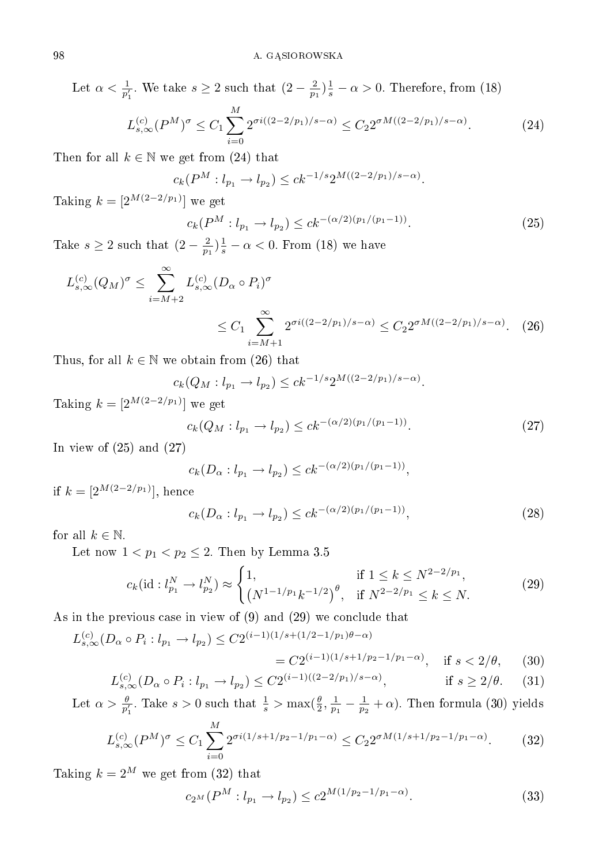Let  $\alpha < \frac{1}{p'_1}$ . We take  $s \ge 2$  such that  $(2 - \frac{2}{p_1})\frac{1}{s} - \alpha > 0$ . Therefore, from (18)

$$
L_{s,\infty}^{(c)}(P^M)^\sigma \le C_1 \sum_{i=0}^M 2^{\sigma i((2-2/p_1)/s-\alpha)} \le C_2 2^{\sigma M((2-2/p_1)/s-\alpha)}.\tag{24}
$$

Then for all  $k \in \mathbb{N}$  we get from (24) that

$$
c_k(P^M: l_{p_1} \to l_{p_2}) \leq c k^{-1/s} 2^{M((2-2/p_1)/s-\alpha)}.
$$

Taking  $k = [2^{M(2-2/p_1)}]$  we get

$$
c_k(P^M : l_{p_1} \to l_{p_2}) \le ck^{-(\alpha/2)(p_1/(p_1-1))}.
$$
\n(25)

Take  $s \geq 2$  such that  $\left(2 - \frac{2}{p_1}\right) \frac{1}{s} - \alpha < 0$ . From (18) we have

$$
L_{s,\infty}^{(c)}(Q_M)^{\sigma} \le \sum_{i=M+2}^{\infty} L_{s,\infty}^{(c)}(D_\alpha \circ P_i)^{\sigma}
$$
  

$$
\le C_1 \sum_{i=M+1}^{\infty} 2^{\sigma i((2-2/p_1)/s-\alpha)} \le C_2 2^{\sigma M((2-2/p_1)/s-\alpha)}.
$$
 (26)

Thus, for all  $k \in \mathbb{N}$  we obtain from (26) that

$$
c_k(Q_M: l_{p_1} \to l_{p_2}) \leq c k^{-1/s} 2^{M((2-2/p_1)/s-\alpha)}.
$$

Taking  $k = [2^{M(2-2/p_1)}]$  we get

$$
c_k(Q_M: l_{p_1} \to l_{p_2}) \le ck^{-(\alpha/2)(p_1/(p_1-1))}.
$$
\n(27)

In view of  $(25)$  and  $(27)$ 

$$
c_k(D_\alpha: l_{p_1} \to l_{p_2}) \leq c k^{-(\alpha/2)(p_1/(p_1-1))},
$$

if  $k = [2^{M(2-2/p_1)}]$ , hence

$$
c_k(D_\alpha: l_{p_1} \to l_{p_2}) \le ck^{-(\alpha/2)(p_1/(p_1-1))}, \tag{28}
$$

for all  $k \in \mathbb{N}$ .

Let now  $1 < p_1 < p_2 \le 2$ . Then by Lemma 3.5

$$
c_k(\mathrm{id}: l_{p_1}^N \to l_{p_2}^N) \approx \begin{cases} 1, & \text{if } 1 \le k \le N^{2-2/p_1}, \\ \left(N^{1-1/p_1}k^{-1/2}\right)^{\theta}, & \text{if } N^{2-2/p_1} \le k \le N. \end{cases} \tag{29}
$$

As in the previous case in view of (9) and (29) we conclude that

$$
L_{s,\infty}^{(c)}(D_{\alpha} \circ P_i : l_{p_1} \to l_{p_2}) \le C2^{(i-1)(1/s + (1/2 - 1/p_1)\theta - \alpha)}
$$
  
=  $C2^{(i-1)(1/s + 1/p_2 - 1/p_1 - \alpha)}$ , if  $s < 2/\theta$ , (30)

$$
L_{s,\infty}^{(c)}(D_{\alpha} \circ P_i : l_{p_1} \to l_{p_2}) \le C2^{(i-1)((2-2/p_1)/s-\alpha)}, \qquad \text{if } s \ge 2/\theta. \tag{31}
$$

Let  $\alpha > \frac{\theta}{p'_1}$ . Take  $s > 0$  such that  $\frac{1}{s} > \max(\frac{\theta}{2}, \frac{1}{p_1} - \frac{1}{p_2} + \alpha)$ . Then formula (30) yields

$$
L_{s,\infty}^{(c)}(P^M)^\sigma \le C_1 \sum_{i=0}^M 2^{\sigma i(1/s+1/p_2-1/p_1-\alpha)} \le C_2 2^{\sigma M(1/s+1/p_2-1/p_1-\alpha)}.\tag{32}
$$

Taking  $k = 2^M$  we get from (32) that

$$
c_{2^{M}}(P^{M}: l_{p_{1}} \to l_{p_{2}}) \leq c_{2^{M(1/p_{2}-1/p_{1}-\alpha)}}.
$$
\n(33)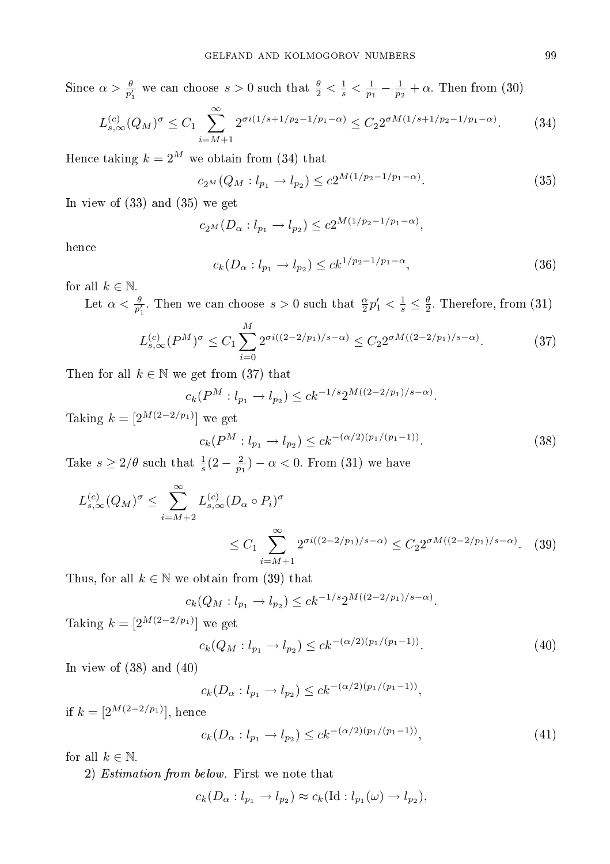Since  $\alpha > \frac{\theta}{p'_1}$  we can choose  $s > 0$  such that  $\frac{\theta}{2} < \frac{1}{s} < \frac{1}{p_1} - \frac{1}{p_2} + \alpha$ . Then from (30)

$$
L_{s,\infty}^{(c)}(Q_M)^{\sigma} \le C_1 \sum_{i=M+1}^{\infty} 2^{\sigma i(1/s+1/p_2-1/p_1-\alpha)} \le C_2 2^{\sigma M(1/s+1/p_2-1/p_1-\alpha)}.
$$
 (34)

Hence taking  $k = 2^M$  we obtain from (34) that

$$
c_{2^{M}}(Q_{M}:l_{p_{1}} \to l_{p_{2}}) \leq c_{2^{M(1/p_{2}-1/p_{1}-\alpha)}}.
$$
\n(35)

In view of (33) and (35) we get

$$
c_{2^M}(D_\alpha: l_{p_1} \to l_{p_2}) \le c2^{M(1/p_2 - 1/p_1 - \alpha)},
$$

hence

$$
c_k(D_\alpha: l_{p_1} \to l_{p_2}) \le ck^{1/p_2 - 1/p_1 - \alpha},\tag{36}
$$

for all  $k \in \mathbb{N}$ .

Let  $\alpha < \frac{\theta}{p'_1}$ . Then we can choose  $s > 0$  such that  $\frac{\alpha}{2}p'_1 < \frac{1}{s} \leq \frac{\theta}{2}$ . Therefore, from (31)

$$
L_{s,\infty}^{(c)}(P^M)^{\sigma} \le C_1 \sum_{i=0}^M 2^{\sigma i((2-2/p_1)/s-\alpha)} \le C_2 2^{\sigma M((2-2/p_1)/s-\alpha)}.
$$
 (37)

Then for all  $k \in \mathbb{N}$  we get from (37) that

$$
c_k(P^M: l_{p_1} \to l_{p_2}) \leq c k^{-1/s} 2^{M((2-2/p_1)/s-\alpha)}.
$$

Taking  $k = [2^{M(2-2/p_1)}]$  we get

$$
c_k(P^M: l_{p_1} \to l_{p_2}) \le ck^{-(\alpha/2)(p_1/(p_1-1))}.
$$
\n(38)

Take  $s \geq 2/\theta$  such that  $\frac{1}{s}(2-\frac{2}{p_1}) - \alpha < 0$ . From (31) we have

$$
L_{s,\infty}^{(c)}(Q_M)^{\sigma} \le \sum_{i=M+2}^{\infty} L_{s,\infty}^{(c)}(D_\alpha \circ P_i)^{\sigma}
$$
  
 
$$
\le C_1 \sum_{i=M+1}^{\infty} 2^{\sigma i((2-2/p_1)/s-\alpha)} \le C_2 2^{\sigma M((2-2/p_1)/s-\alpha)}.
$$
 (39)

Thus, for all  $k \in \mathbb{N}$  we obtain from (39) that

$$
c_k(Q_M: l_{p_1} \to l_{p_2}) \leq c k^{-1/s} 2^{M((2-2/p_1)/s-\alpha)}.
$$

Taking  $k = [2^{M(2-2/p_1)}]$  we get

$$
c_k(Q_M: l_{p_1} \to l_{p_2}) \leq c k^{-(\alpha/2)(p_1/(p_1-1))}.
$$
\n(40)

In view of  $(38)$  and  $(40)$ 

$$
c_k(D_\alpha: l_{p_1} \to l_{p_2}) \leq c k^{-(\alpha/2)(p_1/(p_1-1))},
$$

if  $k = \left[2^{M(2-2/p_1)}\right]$ , hence

$$
c_k(D_\alpha: l_{p_1} \to l_{p_2}) \le ck^{-(\alpha/2)(p_1/(p_1-1))}, \tag{41}
$$

for all  $k \in \mathbb{N}$ .

2) Estimation from below. First we note that

$$
c_k(D_\alpha: l_{p_1} \to l_{p_2}) \approx c_k(\mathrm{Id}: l_{p_1}(\omega) \to l_{p_2}),
$$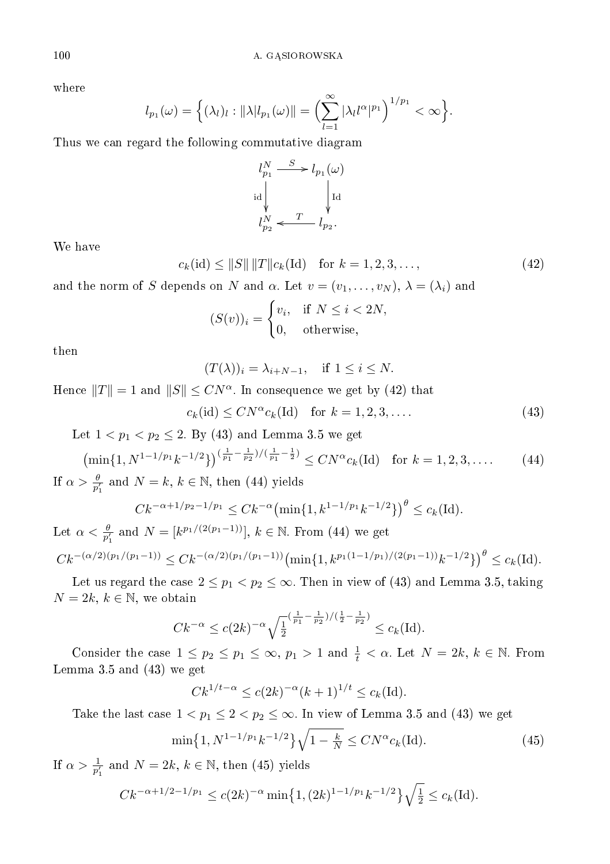where

$$
l_{p_1}(\omega) = \left\{ (\lambda_l)_l : ||\lambda| l_{p_1}(\omega)|| = \left( \sum_{l=1}^{\infty} |\lambda_l l^{\alpha}|^{p_1} \right)^{1/p_1} < \infty \right\}.
$$

Thus we can regard the following commutative diagram

$$
\begin{aligned} l_{p_1}^N &\stackrel{S}{\longrightarrow} l_{p_1}(\omega)\\ \operatorname{id} &\hspace{-2mm}\downarrow &\hspace{-2mm}\downarrow \operatorname{id}\\ l_{p_2}^N &\hspace{-2mm}\downarrow &\hspace{-2mm}\downarrow l_{p_2}. \end{aligned}
$$

We have

$$
c_k(\text{id}) \le ||S|| \, ||T|| c_k(\text{Id}) \quad \text{for } k = 1, 2, 3, \dots,
$$
\n(42)

and the norm of S depends on N and  $\alpha$ . Let  $v = (v_1, \ldots, v_N)$ ,  $\lambda = (\lambda_i)$  and

$$
(S(v))_i = \begin{cases} v_i, & \text{if } N \le i < 2N, \\ 0, & \text{otherwise,} \end{cases}
$$

then

$$
(T(\lambda))_i = \lambda_{i+N-1}, \quad \text{if } 1 \le i \le N.
$$

Hence  $||T|| = 1$  and  $||S|| \leq CN^{\alpha}$ . In consequence we get by (42) that

 $c_k(\text{id}) \le CN^{\alpha} c_k(\text{Id}) \text{ for } k = 1, 2, 3, ....$  (43)

Let  $1 < p_1 < p_2 \le 2$ . By (43) and Lemma 3.5 we get

$$
\left(\min\{1, N^{1-1/p_1}k^{-1/2}\}\right)^{\left(\frac{1}{p_1}-\frac{1}{p_2}\right)/\left(\frac{1}{p_1}-\frac{1}{2}\right)} \le CN^{\alpha}c_k(\text{Id}) \quad \text{for } k = 1, 2, 3, \dots \tag{44}
$$

If  $\alpha > \frac{\theta}{p'_1}$  and  $N = k, k \in \mathbb{N}$ , then (44) yields

$$
Ck^{-\alpha+1/p_2-1/p_1} \leq Ck^{-\alpha} \left(\min\{1, k^{1-1/p_1}k^{-1/2}\}\right)^{\theta} \leq c_k(\text{Id}).
$$

Let  $\alpha < \frac{\theta}{p'_1}$  and  $N = [k^{p_1/(2(p_1-1))}], k \in \mathbb{N}$ . From (44) we get  $Ck^{-(\alpha/2)(p_1/(p_1-1))} \leq Ck^{-(\alpha/2)(p_1/(p_1-1))} \left(\min\{1, k^{p_1(1-1/p_1)/(2(p_1-1))}k^{-1/2}\}\right)^{\theta} \leq c_k(\text{Id}).$ 

Let us regard the case  $2 \le p_1 < p_2 \le \infty$ . Then in view of (43) and Lemma 3.5, taking  $N = 2k, k \in \mathbb{N}$ , we obtain

$$
Ck^{-\alpha} \le c(2k)^{-\alpha} \sqrt{\frac{1}{2}}^{\left(\frac{1}{p_1} - \frac{1}{p_2}\right)/(\frac{1}{2} - \frac{1}{p_2})} \le c_k(\mathrm{Id}).
$$

Consider the case  $1 \leq p_2 \leq p_1 \leq \infty$ ,  $p_1 > 1$  and  $\frac{1}{t} < \alpha$ . Let  $N = 2k$ ,  $k \in \mathbb{N}$ . From Lemma 3.5 and (43) we get

$$
Ck^{1/t-\alpha} \le c(2k)^{-\alpha}(k+1)^{1/t} \le c_k(\text{Id}).
$$

Take the last case  $1 < p_1 \leq 2 < p_2 \leq \infty$ . In view of Lemma 3.5 and (43) we get

$$
\min\{1, N^{1-1/p_1}k^{-1/2}\}\sqrt{1-\frac{k}{N}} \le CN^{\alpha}c_k(\text{Id}).\tag{45}
$$

If  $\alpha > \frac{1}{p'_1}$  and  $N = 2k, k \in \mathbb{N}$ , then (45) yields

$$
Ck^{-\alpha+1/2-1/p_1} \le c(2k)^{-\alpha} \min\{1,(2k)^{1-1/p_1}k^{-1/2}\}\sqrt{\frac{1}{2}} \le c_k(\text{Id}).
$$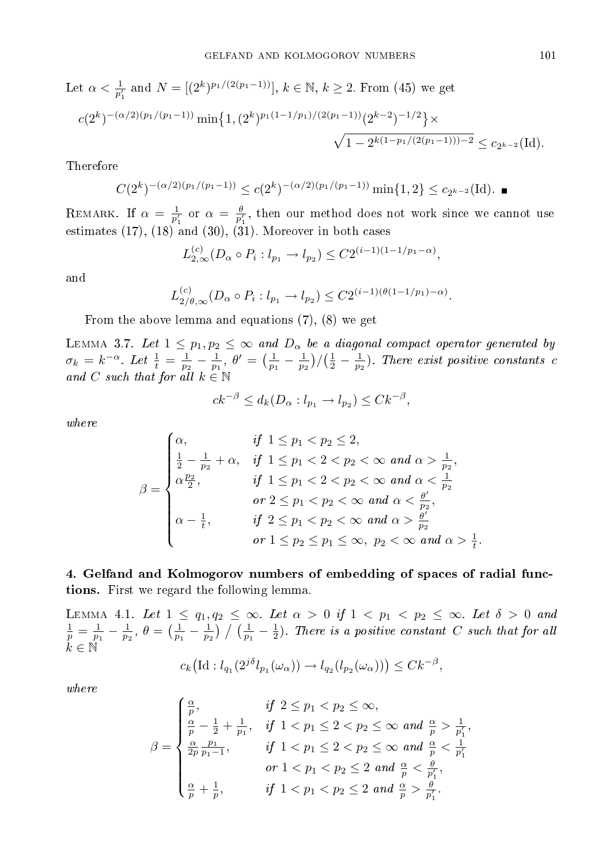Let 
$$
\alpha < \frac{1}{p'_1}
$$
 and  $N = [(2^k)^{p_1/(2(p_1-1))}], k \in \mathbb{N}, k \ge 2$ . From (45) we get  

$$
c(2^k)^{-(\alpha/2)(p_1/(p_1-1))} \min\{1, (2^k)^{p_1(1-1/p_1)/(2(p_1-1))}(2^{k-2})^{-1/2}\} \times \frac{\sqrt{1-2^{k(1-p_1/(2(p_1-1)))-2}} \le c_{2^{k-2}}(\text{Id}).
$$

Therefore

$$
C(2^k)^{-(\alpha/2)(p_1/(p_1-1))} \le c(2^k)^{-(\alpha/2)(p_1/(p_1-1))} \min\{1,2\} \le c_{2^{k-2}}(\text{Id}).
$$

REMARK. If  $\alpha = \frac{1}{p'_1}$  or  $\alpha = \frac{\theta}{p'_1}$ , then our method does not work since we cannot use estimates  $(17)$ ,  $(18)$  and  $(30)$ ,  $(31)$ . Moreover in both cases

$$
L_{2,\infty}^{(c)}(D_{\alpha}\circ P_i: l_{p_1}\to l_{p_2})\leq C2^{(i-1)(1-1/p_1-\alpha)},
$$

and

$$
L_{2/\theta,\infty}^{(c)}(D_{\alpha}\circ P_i: l_{p_1}\to l_{p_2})\leq C2^{(i-1)(\theta(1-1/p_1)-\alpha)}.
$$

From the above lemma and equations (7), (8) we get

LEMMA 3.7. Let  $1 \leq p_1, p_2 \leq \infty$  and  $D_{\alpha}$  be a diagonal compact operator generated by  $\sigma_k = k^{-\alpha}$ . Let  $\frac{1}{t} = \frac{1}{p_2} - \frac{1}{p_1}$ ,  $\theta' = (\frac{1}{p_1} - \frac{1}{p_2})/(\frac{1}{2} - \frac{1}{p_2})$ . There exist positive constants c and C such that for all  $k \in \mathbb{N}$ 

$$
ck^{-\beta} \le d_k(D_\alpha : l_{p_1} \to l_{p_2}) \le Ck^{-\beta},
$$

where

$$
\beta = \begin{cases}\n\alpha, & \text{if } 1 \le p_1 < p_2 \le 2, \\
\frac{1}{2} - \frac{1}{p_2} + \alpha, & \text{if } 1 \le p_1 < 2 < p_2 < \infty \text{ and } \alpha > \frac{1}{p_2}, \\
\alpha \frac{p_2}{2}, & \text{if } 1 \le p_1 < 2 < p_2 < \infty \text{ and } \alpha < \frac{1}{p_2} \\
& \text{or } 2 \le p_1 < p_2 < \infty \text{ and } \alpha < \frac{\theta'}{p_2}, \\
\alpha - \frac{1}{t}, & \text{if } 2 \le p_1 < p_2 < \infty \text{ and } \alpha > \frac{\theta'}{p_2} \\
& \text{or } 1 \le p_2 \le p_1 \le \infty, \ p_2 < \infty \text{ and } \alpha > \frac{1}{t}.\n\end{cases}
$$

4. Gelfand and Kolmogorov numbers of embedding of spaces of radial functions. First we regard the following lemma.

LEMMA 4.1. Let  $1 \leq q_1, q_2 \leq \infty$ . Let  $\alpha > 0$  if  $1 < p_1 < p_2 \leq \infty$ . Let  $\delta > 0$  and  $\frac{1}{p} = \frac{1}{p_1} - \frac{1}{p_2}$ ,  $\theta = \left(\frac{1}{p_1} - \frac{1}{p_2}\right) / \left(\frac{1}{p_1} - \frac{1}{2}\right)$ . There is a positive constant C such that for all  $\tilde{k} \in \mathbb{N}$ 

$$
c_k\big(\mathrm{Id}:l_{q_1}(2^{j\delta}l_{p_1}(\omega_\alpha))\to l_{q_2}(l_{p_2}(\omega_\alpha))\big)\leq Ck^{-\beta},
$$

where

$$
\beta = \begin{cases} \frac{\alpha}{p}, & \text{if } 2 \le p_1 < p_2 \le \infty, \\ \frac{\alpha}{p} - \frac{1}{2} + \frac{1}{p_1}, & \text{if } 1 < p_1 \le 2 < p_2 \le \infty \text{ and } \frac{\alpha}{p} > \frac{1}{p'_1}, \\ \frac{\alpha}{2p} \frac{p_1}{p_1 - 1}, & \text{if } 1 < p_1 \le 2 < p_2 \le \infty \text{ and } \frac{\alpha}{p} < \frac{1}{p'_1} \\ & \text{or } 1 < p_1 < p_2 \le 2 \text{ and } \frac{\alpha}{p} < \frac{\theta}{p'_1}, \\ \frac{\alpha}{p} + \frac{1}{p}, & \text{if } 1 < p_1 < p_2 \le 2 \text{ and } \frac{\alpha}{p} > \frac{\theta}{p'_1}. \end{cases}
$$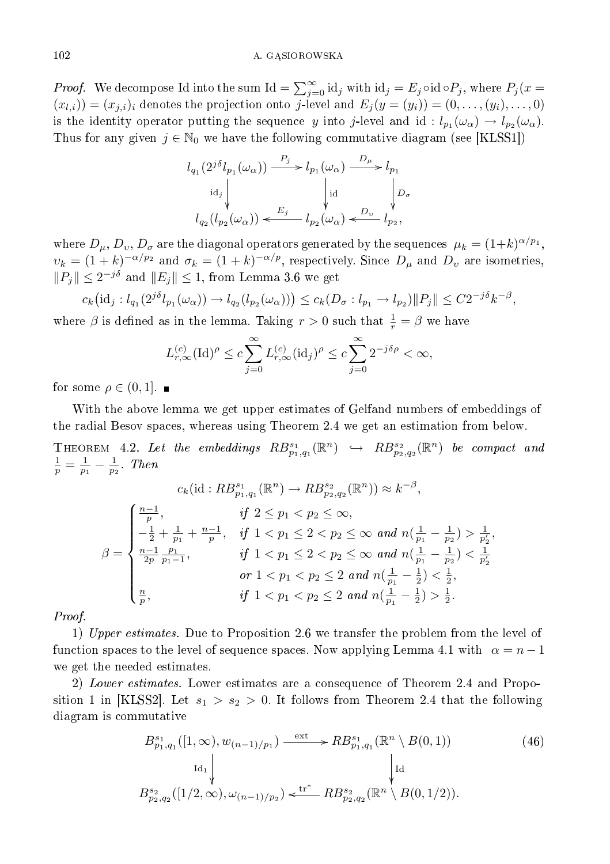*Proof.* We decompose Id into the sum Id =  $\sum_{j=0}^{\infty}$  id<sub>j</sub> with id<sub>j</sub> =  $E_j \circ id \circ P_j$ , where  $P_j(x =$  $(x_{l,i})=(x_{j,i})_i$  denotes the projection onto j-level and  $E_j(y=(y_i))=(0,\ldots,(y_i),\ldots,0)$ is the identity operator putting the sequence y into j-level and id:  $l_{p_1}(\omega_\alpha) \to l_{p_2}(\omega_\alpha)$ . Thus for any given  $j \in \mathbb{N}_0$  we have the following commutative diagram (see [KLSS1])

$$
\begin{array}{c} l_{q_1}(2^{j\delta}l_{p_1}(\omega_\alpha)) \xrightarrow{\quad P_j} l_{p_1}(\omega_\alpha) \xrightarrow{\quad D_\mu} l_{p_1} \\[2mm] \mathrm{id}_j \Bigg\downarrow \qquad \qquad \downarrow \mathrm{id} \\[2mm] l_{q_2}(l_{p_2}(\omega_\alpha)) \xleftarrow{\quad E_j} l_{p_2}(\omega_\alpha) \xleftarrow{\quad D_\upsilon} l_{p_2}, \end{array}
$$

where  $D_\mu, D_v, D_\sigma$  are the diagonal operators generated by the sequences  $\mu_k = (1 + k)^{\alpha/p_1},$  $\nu_k = (1 + k)^{-\alpha/p_2}$  and  $\sigma_k = (1 + k)^{-\alpha/p}$ , respectively. Since  $D_\mu$  and  $D_\nu$  are isometries,  $||P_j|| \leq 2^{-j\delta}$  and  $||E_j|| \leq 1$ , from Lemma 3.6 we get

$$
c_k\big(\mathrm{id}_j: l_{q_1}(2^{j\delta}l_{p_1}(\omega_\alpha)) \to l_{q_2}(l_{p_2}(\omega_\alpha))\big) \leq c_k(D_\sigma: l_{p_1} \to l_{p_2}) \|P_j\| \leq C2^{-j\delta}k^{-\beta},
$$

where  $\beta$  is defined as in the lemma. Taking  $r > 0$  such that  $\frac{1}{r} = \beta$  we have

$$
L_{r,\infty}^{(c)}(\mathrm{Id})^{\rho} \le c \sum_{j=0}^{\infty} L_{r,\infty}^{(c)}(\mathrm{id}_j)^{\rho} \le c \sum_{j=0}^{\infty} 2^{-j\delta\rho} < \infty,
$$

for some  $\rho \in (0,1]$ .

With the above lemma we get upper estimates of Gelfand numbers of embeddings of the radial Besov spaces, whereas using Theorem 2.4 we get an estimation from below.

THEOREM 4.2. Let the embeddings  $RB_{p_1,q_1}^{s_1}(\mathbb{R}^n) \leftrightarrow RB_{p_2,q_2}^{s_2}(\mathbb{R}^n)$  be compact and  $\frac{1}{p} = \frac{1}{p_1} - \frac{1}{p_2}$ . Then

$$
c_k(\mathrm{id}: RB_{p_1,q_1}^{s_1}(\mathbb{R}^n) \to RB_{p_2,q_2}^{s_2}(\mathbb{R}^n)) \approx k^{-\beta},
$$
  

$$
\beta = \begin{cases} \frac{n-1}{p}, & \text{if } 2 \le p_1 < p_2 \le \infty, \\ -\frac{1}{2} + \frac{1}{p_1} + \frac{n-1}{p}, & \text{if } 1 < p_1 \le 2 < p_2 \le \infty \text{ and } n(\frac{1}{p_1} - \frac{1}{p_2}) > \frac{1}{p_2'}, \\ \frac{n-1}{2p} \frac{p_1}{p_1-1}, & \text{if } 1 < p_1 \le 2 < p_2 \le \infty \text{ and } n(\frac{1}{p_1} - \frac{1}{p_2}) < \frac{1}{p_2'} \\ & \text{or } 1 < p_1 < p_2 \le 2 \text{ and } n(\frac{1}{p_1} - \frac{1}{2}) < \frac{1}{2}, \\ \frac{n}{p}, & \text{if } 1 < p_1 < p_2 \le 2 \text{ and } n(\frac{1}{p_1} - \frac{1}{2}) > \frac{1}{2}. \end{cases}
$$

Proof.

1) Upper estimates. Due to Proposition 2.6 we transfer the problem from the level of function spaces to the level of sequence spaces. Now applying Lemma 4.1 with  $\alpha = n - 1$ we get the needed estimates.

2) Lower estimates. Lower estimates are a consequence of Theorem 2.4 and Proposition 1 in [KLSS2]. Let  $s_1 > s_2 > 0$ . It follows from Theorem 2.4 that the following diagram is commutative

$$
B_{p_1,q_1}^{s_1}([1,\infty),w_{(n-1)/p_1}) \xrightarrow{\text{ext}} R B_{p_1,q_1}^{s_1}(\mathbb{R}^n \setminus B(0,1))
$$
\n
$$
\downarrow \text{Id}_1 \downarrow \qquad \qquad \downarrow \text{Id}
$$
\n
$$
B_{p_2,q_2}^{s_2}([1/2,\infty),\omega_{(n-1)/p_2}) \xleftarrow{\text{tr}^*} R B_{p_2,q_2}^{s_2}(\mathbb{R}^n \setminus B(0,1/2)).
$$
\n
$$
(46)
$$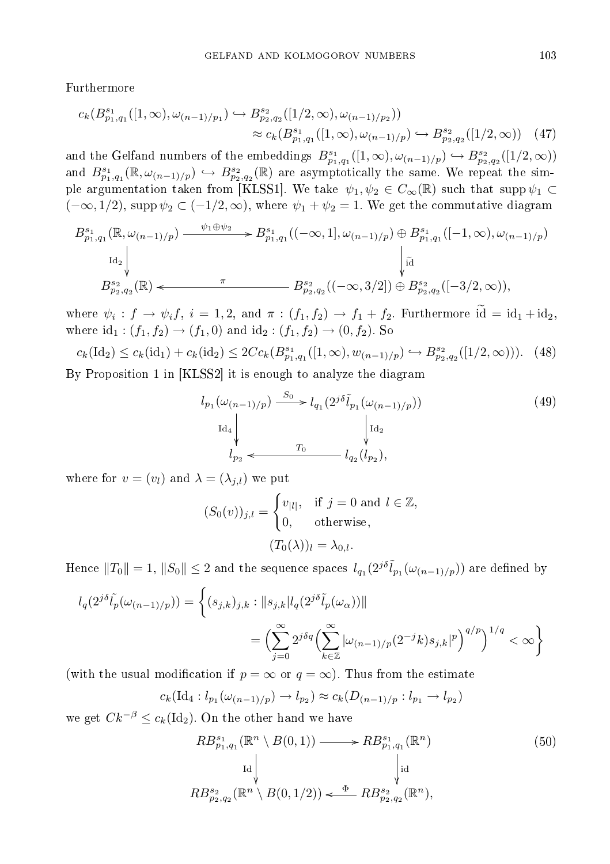Furthermore

$$
c_k(B_{p_1,q_1}^{s_1}([1,\infty),\omega_{(n-1)/p_1}) \hookrightarrow B_{p_2,q_2}^{s_2}([1/2,\infty),\omega_{(n-1)/p_2}))
$$
  

$$
\approx c_k(B_{p_1,q_1}^{s_1}([1,\infty),\omega_{(n-1)/p}) \hookrightarrow B_{p_2,q_2}^{s_2}([1/2,\infty)) \quad (47)
$$

and the Gelfand numbers of the embeddings  $B^{s_1}_{p_1,q_1}([1,\infty), \omega_{(n-1)/p}) \hookrightarrow B^{s_2}_{p_2,q_2}([1/2,\infty))$ and  $B^{s_1}_{p_1,q_1}(\mathbb{R},\omega_{(n-1)/p}) \hookrightarrow B^{s_2}_{p_2,q_2}(\mathbb{R})$  are asymptotically the same. We repeat the simple argumentation taken from [KLSS1]. We take  $\psi_1, \psi_2 \in C_\infty(\mathbb{R})$  such that supp  $\psi_1 \subset$  $(-\infty, 1/2)$ , supp  $\psi_2 \subset (-1/2, \infty)$ , where  $\psi_1 + \psi_2 = 1$ . We get the commutative diagram

$$
B_{p_1,q_1}^{s_1}(\mathbb{R}, \omega_{(n-1)/p}) \xrightarrow{\psi_1 \oplus \psi_2} B_{p_1,q_1}^{s_1}((-\infty, 1], \omega_{(n-1)/p}) \oplus B_{p_1,q_1}^{s_1}([-1, \infty), \omega_{(n-1)/p})
$$
  
\n
$$
B_{p_2,q_2}^{s_2}(\mathbb{R}) \xleftarrow{\pi} B_{p_2,q_2}^{s_2}((-\infty, 3/2]) \oplus B_{p_2,q_2}^{s_2}([-3/2, \infty)),
$$

where  $\psi_i: f \to \psi_i f, i = 1, 2$ , and  $\pi: (f_1, f_2) \to f_1 + f_2$ . Furthermore  $id = id_1 + id_2$ , where  $id_1 : (f_1, f_2) \to (f_1, 0)$  and  $id_2 : (f_1, f_2) \to (0, f_2)$ . So

$$
c_k(\text{Id}_2) \le c_k(\text{id}_1) + c_k(\text{id}_2) \le 2Cc_k(B_{p_1,q_1}^{s_1}([1,\infty),w_{(n-1)/p}) \hookrightarrow B_{p_2,q_2}^{s_2}([1/2,\infty))). \tag{48}
$$

By Proposition 1 in [KLSS2] it is enough to analyze the diagram

$$
l_{p_1}(\omega_{(n-1)/p}) \xrightarrow{S_0} l_{q_1}(2^{j\delta}\tilde{l}_{p_1}(\omega_{(n-1)/p}))
$$
\n
$$
l_{d_4} \downarrow \qquad l_{p_2} \downarrow \qquad \qquad l_{q_2}(l_{p_2}),
$$
\n(49)

where for  $v = (v_l)$  and  $\lambda = (\lambda_{j,l})$  we put

$$
(S_0(v))_{j,l} = \begin{cases} v_{|l|}, & \text{if } j = 0 \text{ and } l \in \mathbb{Z}, \\ 0, & \text{otherwise}, \end{cases}
$$

$$
(T_0(\lambda))_l = \lambda_{0,l}.
$$

Hence  $||T_0|| = 1$ ,  $||S_0|| \leq 2$  and the sequence spaces  $l_{q_1}(2^{j\delta} \tilde{l}_{p_1}(\omega_{(n-1)/p}))$  are defined by

$$
l_q(2^{j\delta}\tilde{l}_p(\omega_{(n-1)/p})) = \left\{ (s_{j,k})_{j,k} : ||s_{j,k}||_q(2^{j\delta}\tilde{l}_p(\omega_\alpha))||
$$
  

$$
= \left(\sum_{j=0}^\infty 2^{j\delta q} \left(\sum_{k\in\mathbb{Z}}^\infty |\omega_{(n-1)/p}(2^{-j}k)s_{j,k}|^p\right)^{q/p}\right)^{1/q} < \infty\right\}
$$

(with the usual modification if  $p = \infty$  or  $q = \infty$ ). Thus from the estimate

$$
c_k(\mathrm{Id}_4: l_{p_1}(\omega_{(n-1)/p}) \to l_{p_2}) \approx c_k(D_{(n-1)/p}: l_{p_1} \to l_{p_2})
$$

we get  $Ck^{-\beta} \leq c_k(\text{Id}_2)$ . On the other hand we have

$$
RB_{p_1,q_1}^{s_1}(\mathbb{R}^n \setminus B(0,1)) \longrightarrow RB_{p_1,q_1}^{s_1}(\mathbb{R}^n)
$$
  
\n
$$
_{\text{Id}} \downarrow \qquad \qquad \downarrow \qquad \qquad \downarrow
$$
  
\n
$$
RB_{p_2,q_2}^{s_2}(\mathbb{R}^n \setminus B(0,1/2)) \stackrel{\Phi}{\longleftarrow} RB_{p_2,q_2}^{s_2}(\mathbb{R}^n),
$$
  
\n(50)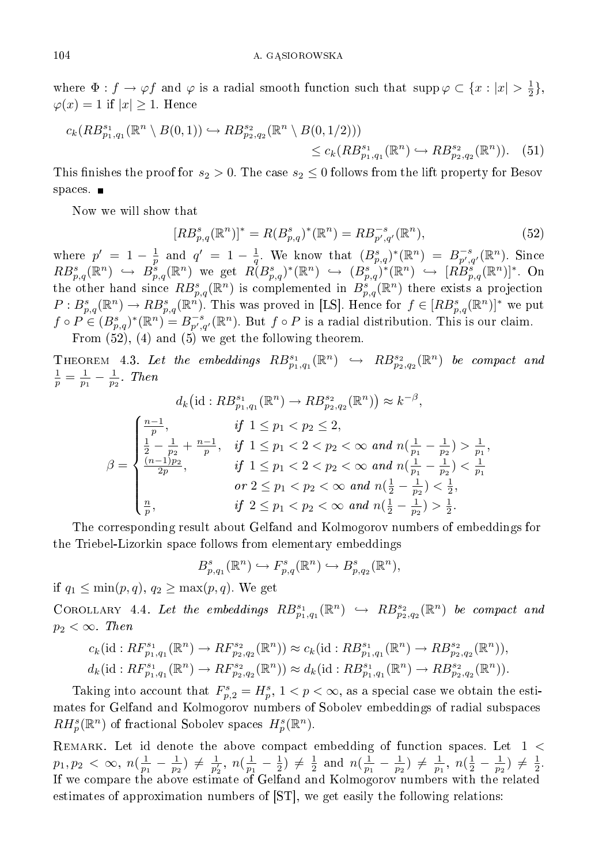where  $\Phi: f \to \varphi f$  and  $\varphi$  is a radial smooth function such that  $\text{supp}\,\varphi \subset \{x : |x| > \frac{1}{2}\},$  $\varphi(x) = 1$  if  $|x| \geq 1$ . Hence

$$
c_k(RB_{p_1,q_1}^{s_1}(\mathbb{R}^n \setminus B(0,1)) \hookrightarrow RB_{p_2,q_2}^{s_2}(\mathbb{R}^n \setminus B(0,1/2)))\le c_k(RB_{p_1,q_1}^{s_1}(\mathbb{R}^n) \hookrightarrow RB_{p_2,q_2}^{s_2}(\mathbb{R}^n)).\tag{51}
$$

This finishes the proof for  $s_2 > 0$ . The case  $s_2 \leq 0$  follows from the lift property for Besov spaces.  $\blacksquare$ 

Now we will show that

$$
[RB_{p,q}^{s}(\mathbb{R}^{n})]^{*} = R(B_{p,q}^{s})^{*}(\mathbb{R}^{n}) = RB_{p',q'}^{-s}(\mathbb{R}^{n}),
$$
\n(52)

where  $p' = 1 - \frac{1}{p}$  and  $q' = 1 - \frac{1}{q}$ . We know that  $(B_{p,q}^s)^*(\mathbb{R}^n) = B_{p',q'}^{-s}(\mathbb{R}^n)$ . Since  $RB_{p,q}^{s}(\mathbb{R}^n) \hookrightarrow B_{p,q}^{s}(\mathbb{R}^n)$  we get  $R(B_{p,q}^{s})^*(\mathbb{R}^n) \hookrightarrow (B_{p,q}^{s})^*(\mathbb{R}^n) \hookrightarrow [RB_{p,q}^{s}(\mathbb{R}^n)]^*.$  On the other hand since  $RB_{p,q}^s(\mathbb{R}^n)$  is complemented in  $B_{p,q}^s(\mathbb{R}^n)$  there exists a projection  $P: B^s_{p,q}(\mathbb{R}^n) \to RB^s_{p,q}(\mathbb{R}^n)$ . This was proved in [LS]. Hence for  $f \in [RB^s_{p,q}(\mathbb{R}^n)]^*$  we put  $f \circ P \in (B_{p,q}^s)^*({\mathbb R}^n) = B_{p',q'}^{-s}({\mathbb R}^n)$ . But  $f \circ P$  is a radial distribution. This is our claim. From (52), (4) and (5) we get the following theorem.

THEOREM 4.3. Let the embeddings  $RB_{p_1,q_1}^{s_1}(\mathbb{R}^n) \leftrightarrow RB_{p_2,q_2}^{s_2}(\mathbb{R}^n)$  be compact and  $\frac{1}{p} = \frac{1}{p_1} - \frac{1}{p_2}$ . Then

$$
d_k\left(\mathrm{id}: RB_{p_1,q_1}^{s_1}(\mathbb{R}^n) \to RB_{p_2,q_2}^{s_2}(\mathbb{R}^n)\right) \approx k^{-\beta},
$$
  

$$
\beta = \begin{cases} \frac{n-1}{p}, & \text{if } 1 \le p_1 < p_2 \le 2, \\ \frac{1}{2} - \frac{1}{p_2} + \frac{n-1}{p}, & \text{if } 1 \le p_1 < 2 < p_2 < \infty \text{ and } n(\frac{1}{p_1} - \frac{1}{p_2}) > \frac{1}{p_1}, \\ \frac{(n-1)p_2}{2p}, & \text{if } 1 \le p_1 < 2 < p_2 < \infty \text{ and } n(\frac{1}{p_1} - \frac{1}{p_2}) < \frac{1}{p_1} \\ & \text{or } 2 \le p_1 < p_2 < \infty \text{ and } n(\frac{1}{2} - \frac{1}{p_2}) < \frac{1}{2}, \\ \frac{n}{p}, & \text{if } 2 \le p_1 < p_2 < \infty \text{ and } n(\frac{1}{2} - \frac{1}{p_2}) > \frac{1}{2}. \end{cases}
$$

The corresponding result about Gelfand and Kolmogorov numbers of embeddings for the Triebel-Lizorkin space follows from elementary embeddings

$$
B_{p,q_1}^s(\mathbb{R}^n) \hookrightarrow F_{p,q}^s(\mathbb{R}^n) \hookrightarrow B_{p,q_2}^s(\mathbb{R}^n),
$$

if  $q_1 \leq \min(p,q), q_2 \geq \max(p,q)$ . We get

COROLLARY 4.4. Let the embeddings  $RB^{s_1}_{p_1,q_1}(\mathbb{R}^n) \hookrightarrow RB^{s_2}_{p_2,q_2}(\mathbb{R}^n)$  be compact and  $p_2 < \infty$ . Then

$$
c_k(\mathrm{id}: RF^{s_1}_{p_1,q_1}(\mathbb{R}^n) \to RF^{s_2}_{p_2,q_2}(\mathbb{R}^n)) \approx c_k(\mathrm{id}: RB^{s_1}_{p_1,q_1}(\mathbb{R}^n) \to RB^{s_2}_{p_2,q_2}(\mathbb{R}^n)),
$$
  

$$
d_k(\mathrm{id}: RF^{s_1}_{p_1,q_1}(\mathbb{R}^n) \to RF^{s_2}_{p_2,q_2}(\mathbb{R}^n)) \approx d_k(\mathrm{id}: RB^{s_1}_{p_1,q_1}(\mathbb{R}^n) \to RB^{s_2}_{p_2,q_2}(\mathbb{R}^n)).
$$

Taking into account that  $F_{p,2}^s = H_p^s$ ,  $1 < p < \infty$ , as a special case we obtain the estimates for Gelfand and Kolmogorov numbers of Sobolev embeddings of radial subspaces  $RH_p^s(\mathbb{R}^n)$  of fractional Sobolev spaces  $H_p^s(\mathbb{R}^n)$ .

 $\rm{REMARK.}$  Let id denote the above compact embedding of function spaces. Let  $1 <$  $p_1, p_2 < \infty$ ,  $n(\frac{1}{p_1} - \frac{1}{p_2}) \neq \frac{1}{p'_2}$ ,  $n(\frac{1}{p_1} - \frac{1}{2}) \neq \frac{1}{2}$  and  $n(\frac{1}{p_1} - \frac{1}{p_2}) \neq \frac{1}{p_1}$ ,  $n(\frac{1}{2} - \frac{1}{p_2}) \neq \frac{1}{2}$ . If we compare the above estimate of Gelfand and Kolmogorov numbers with the related estimates of approximation numbers of [ST], we get easily the following relations: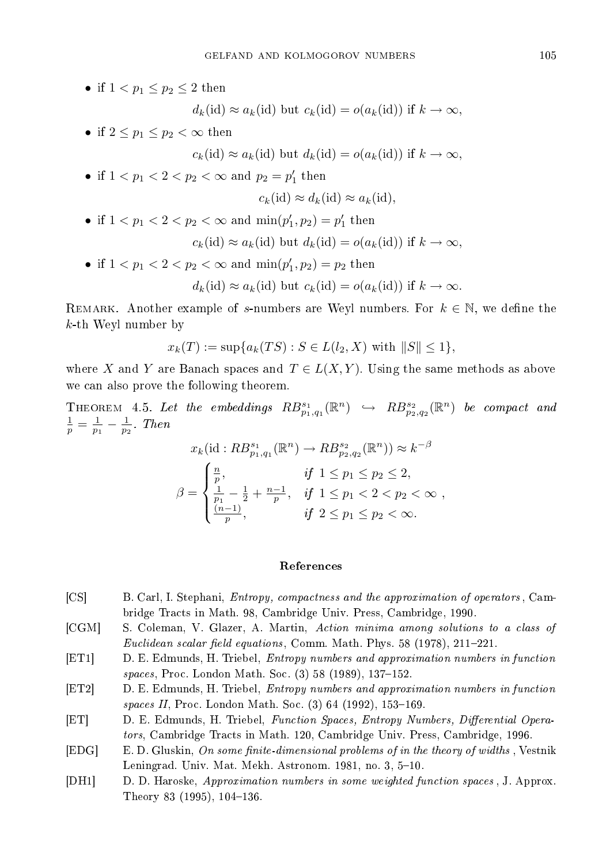• if  $1 < p_1 \leq p_2 \leq 2$  then

$$
d_k(id) \approx a_k(id)
$$
 but  $c_k(id) = o(a_k(id))$  if  $k \to \infty$ ,

• if  $2 \leq p_1 \leq p_2 < \infty$  then

 $c_k(\text{id}) \approx a_k(\text{id})$  but  $d_k(\text{id}) = o(a_k(\text{id}))$  if  $k \to \infty$ ,

• if  $1 < p_1 < 2 < p_2 < \infty$  and  $p_2 = p'_1$  then

$$
c_k(\mathrm{id}) \approx d_k(\mathrm{id}) \approx a_k(\mathrm{id}),
$$

• if  $1 < p_1 < 2 < p_2 < \infty$  and  $\min(p'_1, p_2) = p'_1$  then

$$
c_k(id) \approx a_k(id)
$$
 but  $d_k(id) = o(a_k(id))$  if  $k \to \infty$ ,

• if  $1 < p_1 < 2 < p_2 < \infty$  and  $\min(p'_1, p_2) = p_2$  then

$$
d_k(id) \approx a_k(id)
$$
 but  $c_k(id) = o(a_k(id))$  if  $k \to \infty$ .

REMARK. Another example of s-numbers are Weyl numbers. For  $k \in \mathbb{N}$ , we define the k-th Weyl number by

$$
x_k(T):=\sup\{a_k(TS): S\in L(l_2, X) \text{ with } \|S\|\leq 1\},
$$

where X and Y are Banach spaces and  $T \in L(X, Y)$ . Using the same methods as above we can also prove the following theorem.

THEOREM 4.5. Let the embeddings  $RB_{p_1,q_1}^{s_1}(\mathbb{R}^n) \leftrightarrow RB_{p_2,q_2}^{s_2}(\mathbb{R}^n)$  be compact and  $\frac{1}{p} = \frac{1}{p_1} - \frac{1}{p_2}$ . Then

$$
x_k(\mathrm{id}: RB_{p_1,q_1}^{s_1}(\mathbb{R}^n) \to RB_{p_2,q_2}^{s_2}(\mathbb{R}^n)) \approx k^{-\beta}
$$
  

$$
\beta = \begin{cases} \frac{n}{p}, & \text{if } 1 \le p_1 \le p_2 \le 2, \\ \frac{1}{p_1} - \frac{1}{2} + \frac{n-1}{p}, & \text{if } 1 \le p_1 < 2 < p_2 < \infty \\ \frac{(n-1)}{p}, & \text{if } 2 \le p_1 \le p_2 < \infty. \end{cases}
$$

## References

- [CS] B. Carl, I. Stephani, Entropy, compactness and the approximation of operators , Cambridge Tracts in Math. 98, Cambridge Univ. Press, Cambridge, 1990.
- [CGM] S. Coleman, V. Glazer, A. Martin, Action minima among solutions to a class of Euclidean scalar field equations, Comm. Math. Phys. 58  $(1978)$ , 211-221.
- [ET1] D. E. Edmunds, H. Triebel, Entropy numbers and approximation numbers in function spaces, Proc. London Math. Soc. (3) 58 (1989), 137-152.
- [ET2] D. E. Edmunds, H. Triebel, Entropy numbers and approximation numbers in function spaces II, Proc. London Math. Soc.  $(3)$  64  $(1992)$ , 153-169.
- [ET] D. E. Edmunds, H. Triebel, Function Spaces, Entropy Numbers, Differential Operators, Cambridge Tracts in Math. 120, Cambridge Univ. Press, Cambridge, 1996.
- [EDG] E. D. Gluskin, On some finite-dimensional problems of in the theory of widths, Vestnik Leningrad. Univ. Mat. Mekh. Astronom. 1981, no. 3, 5-10.
- [DH1] D. D. Haroske, Approximation numbers in some weighted function spaces , J. Approx. Theory 83  $(1995)$ , 104-136.